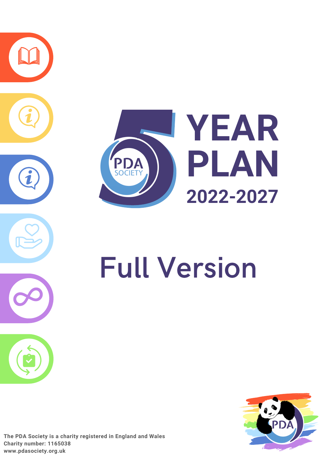

# Full Version



**The PDA Society is a charity registered in England and Wales Charity number: 1165038 [www.pdasociety.org.uk](http://www.pdasociety.org.uk/)**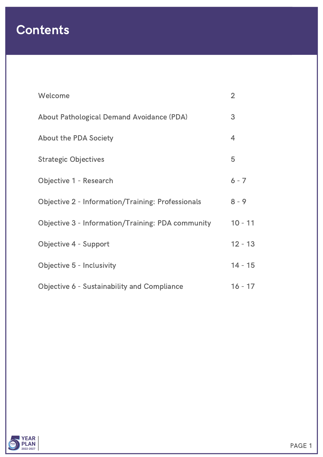## Contents

| Welcome                                                  | $\overline{2}$ |
|----------------------------------------------------------|----------------|
| <b>About Pathological Demand Avoidance (PDA)</b>         | 3              |
| <b>About the PDA Society</b>                             | $\overline{4}$ |
| <b>Strategic Objectives</b>                              | 5              |
| <b>Objective 1 - Research</b>                            | $6 - 7$        |
| <b>Objective 2 - Information/Training: Professionals</b> | $8 - 9$        |
| <b>Objective 3 - Information/Training: PDA community</b> | $10 - 11$      |
| Objective 4 - Support                                    | $12 - 13$      |
| Objective 5 - Inclusivity                                | $14 - 15$      |
| <b>Objective 6 - Sustainability and Compliance</b>       | $16 - 17$      |

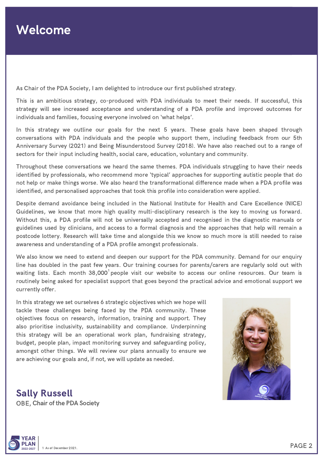As Chair of the PDA Society, I am delighted to introduce our first published strategy.

This is an ambitious strategy, co-produced with PDA individuals to meet their needs. If successful, this strategy will see increased acceptance and understanding of a PDA profile and improved outcomes for individuals and families, focusing everyone involved on 'what helps'.

In this strategy we outline our goals for the next 5 years. These goals have been shaped through conversations with PDA individuals and the people who support them, including feedback from our 5th Anniversary Survey (2021) and Being Misunderstood Survey (2018). We have also reached out to a range of sectors for their input including health, social care, education, voluntary and community.

Throughout these conversations we heard the same themes. PDA individuals struggling to have their needs identified by professionals, who recommend more 'typical' approaches for supporting autistic people that do not help or make things worse. We also heard the transformational difference made when a PDA profile was identified, and personalised approaches that took this profile into consideration were applied.

Despite demand avoidance being included in the National Institute for Health and Care Excellence (NICE) Guidelines, we know that more high quality multi-disciplinary research is the key to moving us forward. Without this, a PDA profile will not be universally accepted and recognised in the diagnostic manuals or guidelines used by clinicians, and access to a formal diagnosis and the approaches that help will remain a postcode lottery. Research will take time and alongside this we know so much more is still needed to raise awareness and understanding of a PDA profile amongst professionals.

We also know we need to extend and deepen our support for the PDA community. Demand for our enquiry line has doubled in the past few years. Our training courses for parents/carers are regularly sold out with waiting lists. Each month 38,000 $^{\text{!}}$ people visit our website to access our online resources. Our team is routinely being asked for specialist support that goes beyond the practical advice and emotional support we currently offer.

In this strategy we set ourselves 6 strategic objectives which we hope will tackle these challenges being faced by the PDA community. These objectives focus on research, information, training and support. They also prioritise inclusivity, sustainability and compliance. Underpinning this strategy will be an operational work plan, fundraising strategy, budget, people plan, impact monitoring survey and safeguarding policy, amongst other things. We will review our plans annually to ensure we are achieving our goals and, if not, we will update as needed.



OBE, Chair of the PDA Society Sally Russell

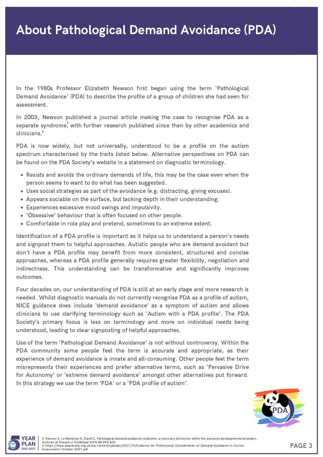In the 1980s Professor Elizabeth Newson first began using the term 'Pathological Demand Avoidance' (PDA) to describe the profile of a group of children she had seen for assessment.

In 2003, Newson published a journal article making the case to recognise PDA as a separate syndrome $\overset{2}{\cdot}$  with further research published since then by other academics and clinicians. 3

PDA is now widely, but not universally, understood to be a profile on the autism spectrum characterised by the traits listed below. Alternative perspectives on PDA can be found on the PDA Society's website in a statement on diagnostic terminology.

- Resists and avoids the ordinary demands of life, this may be the case even when the person seems to want to do what has been suggested.
- Uses social strategies as part of the avoidance (e.g. distracting, giving excuses).
- Appears sociable on the surface, but lacking depth in their understanding.
- Experiences excessive mood swings and impulsivity.
- 'Obsessive' behaviour that is often focused on other people.
- Comfortable in role play and pretend, sometimes to an extreme extent.

Identification of a PDA profile is important as it helps us to understand a person's needs and signpost them to helpful approaches. Autistic people who are demand avoidant but don't have a PDA profile may benefit from more consistent, structured and concise approaches, whereas a PDA profile generally requires greater flexibility, negotiation and indirectness. This understanding can be transformative and significantly improves outcomes.

Four decades on, our understanding of PDA is still at an early stage and more research is needed. Whilst diagnostic manuals do not currently recognise PDA as a profile of autism, NICE guidance does include 'demand avoidance' as a symptom of autism and allows clinicians to use clarifying terminology such as 'Autism with a PDA profile'. The PDA Society's primary focus is less on terminology and more on individual needs being understood, leading to clear signposting of helpful approaches.

Use of the term 'Pathological Demand Avoidance' is not without controversy. Within the PDA community some people feel the term is accurate and appropriate, as their experience of demand avoidance is innate and all-consuming. Other people feel the term misrepresents their experiences and prefer alternative terms, such as 'Pervasive Drive for Autonomy' or 'extreme demand avoidance' amongst other alternatives put forward. In this strategy we use the term 'PDA' or a 'PDA profile of autism'.



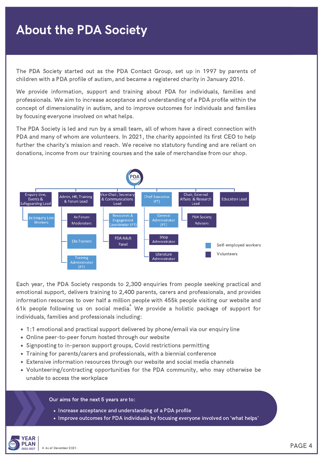## About the PDA Society

The PDA Society started out as the PDA Contact Group, set up in 1997 by parents of children with a PDA profile of autism, and became a registered charity in January 2016.

We provide information, support and training about PDA for individuals, families and professionals. We aim to increase acceptance and understanding of a PDA profile within the concept of dimensionality in autism, and to improve outcomes for individuals and families by focusing everyone involved on what helps.

The PDA Society is led and run by a small team, all of whom have a direct connection with PDA and many of whom are volunteers. In 2021, the charity appointed its first CEO to help further the charity's mission and reach. We receive no statutory funding and are reliant on donations, income from our training courses and the sale of merchandise from our shop.



Each year, the PDA Society responds to 2,300 enquiries from people seeking practical and emotional support, delivers training to 2,400 parents, carers and professionals, and provides information resources to over half a million people with 455k people visiting our website and 61k people following us on social media. We provide a holistic package of support for 4individuals, families and professionals including:

- 1:1 emotional and practical support delivered by phone/email via our enquiry line
- Online peer-to-peer forum hosted through our website
- Signposting to in-person support groups, Covid restrictions permitting
- Training for parents/carers and professionals, with a biennial conference
- Extensive information resources through our website and social media channels
- Volunteering/contracting opportunities for the PDA community, who may otherwise be unable to access the workplace

Our aims for the next 5 years are to:

- Increase acceptance and understanding of a PDA profile
- Improve outcomes for PDA individuals by focusing everyone involved on 'what helps'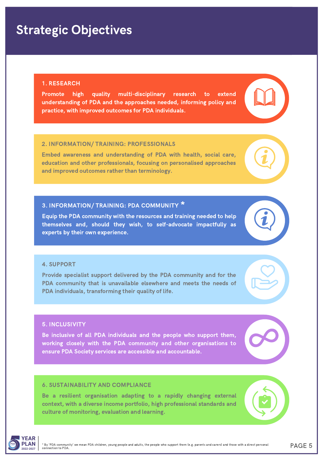## Strategic Objectives

#### 1. RESEARCH

Promote high quality multi-disciplinary research to extend understanding of PDA and the approaches needed, informing policy and practice, with improved outcomes for PDA individuals.

#### 2. INFORMATION/ TRAINING: PROFESSIONALS

Embed awareness and understanding of PDA with health, social care, education and other professionals, focusing on personalised approaches and improved outcomes rather than terminology.

## 3. INFORMATION/ TRAINING: PDA COMMUNITY  $^\star$

Equip the PDA community with the resources and training needed to help themselves and, should they wish, to self-advocate impactfully as experts by their own experience.

#### 4. SUPPORT

Provide specialist support delivered by the PDA community and for the PDA community that is unavailable elsewhere and meets the needs of PDA individuals, transforming their quality of life.

#### 5. INCLUSIVITY

Be inclusive of all PDA individuals and the people who support them, working closely with the PDA community and other organisations to ensure PDA Society services are accessible and accountable.

#### 6. SUSTAINABILITY AND COMPLIANCE

Be a resilient organisation adapting to a rapidly changing external context, with a diverse income portfolio, high professional standards and culture of monitoring, evaluation and learning.











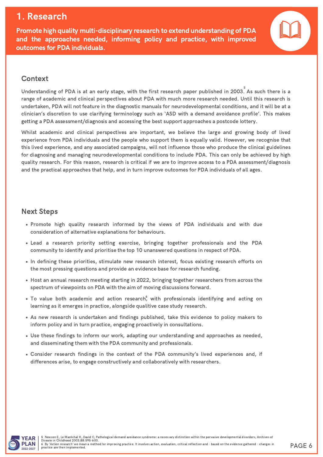## 1. Research

Promote high quality multi-disciplinary research to extend understanding of PDA and the approaches needed, informing policy and practice, with improved outcomes for PDA individuals.



#### Context

Understanding of PDA is at an early stage, with the first research paper published in 2003. As such there is a range of academic and clinical perspectives about PDA with much more research needed. Until this research is undertaken, PDA will not feature in the diagnostic manuals for neurodevelopmental conditions, and it will be at a clinician's discretion to use clarifying terminology such as 'ASD with a demand avoidance profile'. This makes getting a PDA assessment/diagnosis and accessing the best support approaches a postcode lottery.

Whilst academic and clinical perspectives are important, we believe the large and growing body of lived experience from PDA individuals and the people who support them is equally valid. However, we recognise that this lived experience, and any associated campaigns, will not influence those who produce the clinical guidelines for diagnosing and managing neurodevelopmental conditions to include PDA. This can only be achieved by high quality research. For this reason, research is critical if we are to improve access to a PDA assessment/diagnosis and the practical approaches that help, and in turn improve outcomes for PDA individuals of all ages.

- Promote high quality research informed by the views of PDA individuals and with due consideration of alternative explanations for behaviours.
- Lead a research priority setting exercise, bringing together professionals and the PDA community to identify and prioritise the top 10 unanswered questions in respect of PDA.
- In defining these priorities, stimulate new research interest, focus existing research efforts on the most pressing questions and provide an evidence base for research funding.
- Host an annual research meeting starting in 2022, bringing together researchers from across the spectrum of viewpoints on PDA with the aim of moving discussions forward.
- To value both academic and action research $\overset{6}{,}$  with professionals identifying and acting on learning as it emerges in practice, alongside qualitive case study research.
- As new research is undertaken and findings published, take this evidence to policy makers to inform policy and in turn practice, engaging proactively in consultations.
- Use these findings to inform our work, adapting our understanding and approaches as needed, and disseminating them with the PDA community and professionals.
- Consider research findings in the context of the PDA community's lived experiences and, if differences arise, to engage constructively and collaboratively with researchers.

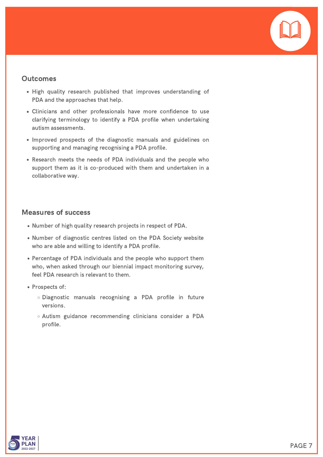

- High quality research published that improves understanding of PDA and the approaches that help.
- Clinicians and other professionals have more confidence to use clarifying terminology to identify a PDA profile when undertaking autism assessments.
- Improved prospects of the diagnostic manuals and guidelines on supporting and managing recognising a PDA profile.
- Research meets the needs of PDA individuals and the people who support them as it is co-produced with them and undertaken in a collaborative way.

- Number of high quality research projects in respect of PDA.
- Number of diagnostic centres listed on the PDA Society website who are able and willing to identify a PDA profile.
- Percentage of PDA individuals and the people who support them who, when asked through our biennial impact monitoring survey, feel PDA research is relevant to them.
- Prospects of:
	- Diagnostic manuals recognising a PDA profile in future versions.
	- Autism guidance recommending clinicians consider a PDA profile.

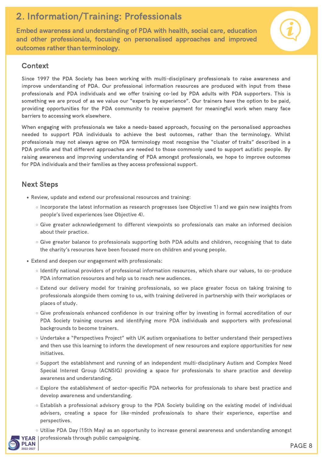## 2. Information/Training: Professionals

Embed awareness and understanding of PDA with health, social care, education and other professionals, focusing on personalised approaches and improved outcomes rather than terminology.

#### Context

Since 1997 the PDA Society has been working with multi-disciplinary professionals to raise awareness and improve understanding of PDA. Our professional information resources are produced with input from these professionals and PDA individuals and we offer training co-led by PDA adults with PDA supporters. This is something we are proud of as we value our "experts by experience". Our trainers have the option to be paid, providing opportunities for the PDA community to receive payment for meaningful work when many face barriers to accessing work elsewhere.

When engaging with professionals we take a needs-based approach, focusing on the personalised approaches needed to support PDA individuals to achieve the best outcomes, rather than the terminology. Whilst professionals may not always agree on PDA terminology most recognise the "cluster of traits" described in a PDA profile and that different approaches are needed to those commonly used to support autistic people. By raising awareness and improving understanding of PDA amongst professionals, we hope to improve outcomes for PDA individuals and their families as they access professional support.

- Review, update and extend our professional resources and training:
	- Incorporate the latest information as research progresses (see Objective 1) and we gain new insights from people's lived experiences (see Objective 4).
	- Give greater acknowledgement to different viewpoints so professionals can make an informed decision about their practice.
	- Give greater balance to professionals supporting both PDA adults and children, recognising that to date the charity's resources have been focused more on children and young people.
- Extend and deepen our engagement with professionals:
	- Identify national providers of professional information resources, which share our values, to co-produce PDA information resources and help us to reach new audiences.
	- Extend our delivery model for training professionals, so we place greater focus on taking training to professionals alongside them coming to us, with training delivered in partnership with their workplaces or places of study.
	- Give professionals enhanced confidence in our training offer by investing in formal accreditation of our PDA Society training courses and identifying more PDA individuals and supporters with professional backgrounds to become trainers.
	- Undertake a "Perspectives Project" with UK autism organisations to better understand their perspectives and then use this learning to inform the development of new resources and explore opportunities for new initiatives.
	- Support the establishment and running of an independent multi-disciplinary Autism and Complex Need Special Interest Group (ACNSIG) providing a space for professionals to share practice and develop awareness and understanding.
	- Explore the establishment of sector-specific PDA networks for professionals to share best practice and develop awareness and understanding.
	- Establish a professional advisory group to the PDA Society building on the existing model of individual advisers, creating a space for like-minded professionals to share their experience, expertise and perspectives.
	- Utilise PDA Day (15th May) as an opportunity to increase general awareness and understanding amongst

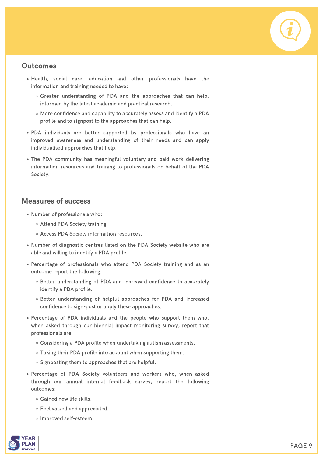- Health, social care, education and other professionals have the information and training needed to have:
	- o Greater understanding of PDA and the approaches that can help, informed by the latest academic and practical research.
	- More confidence and capability to accurately assess and identify a PDA profile and to signpost to the approaches that can help.
- PDA individuals are better supported by professionals who have an improved awareness and understanding of their needs and can apply individualised approaches that help.
- The PDA community has meaningful voluntary and paid work delivering information resources and training to professionals on behalf of the PDA Society.

- Number of professionals who:
	- o Attend PDA Society training.
	- Access PDA Society information resources.
- Number of diagnostic centres listed on the PDA Society website who are able and willing to identify a PDA profile.
- Percentage of professionals who attend PDA Society training and as an outcome report the following:
	- o Better understanding of PDA and increased confidence to accurately identify a PDA profile.
	- Better understanding of helpful approaches for PDA and increased confidence to sign-post or apply these approaches.
- Percentage of PDA individuals and the people who support them who, when asked through our biennial impact monitoring survey, report that professionals are:
	- Considering a PDA profile when undertaking autism assessments.
	- Taking their PDA profile into account when supporting them.
	- $\circ$  Signposting them to approaches that are helpful.
- Percentage of PDA Society volunteers and workers who, when asked through our annual internal feedback survey, report the following outcomes:
	- Gained new life skills.
	- Feel valued and appreciated.
	- o Improved self-esteem.

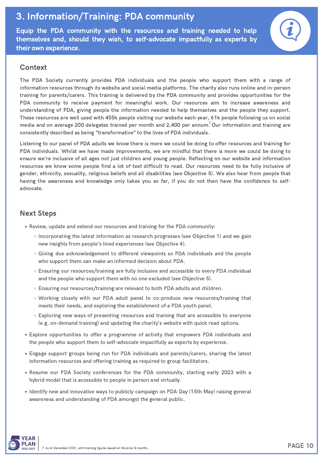## 3. Information/Training: PDA community

Equip the PDA community with the resources and training needed to help themselves and, should they wish, to self-advocate impactfully as experts by their own experience.

#### Context

The PDA Society currently provides PDA individuals and the people who support them with a range of information resources through its website and social media platforms. The charity also runs online and in-person training for parents/carers. This training is delivered by the PDA community and provides opportunities for the PDA community to receive payment for meaningful work. Our resources aim to increase awareness and understanding of PDA, giving people the information needed to help themselves and the people they support. These resources are well used with 455k people visiting our website each year, 61k people following us on social media and on average 200 delegates trained per month and 2,400 per annum. Our information and training are consistently described as being "transformative" to the lives of PDA individuals.

Listening to our panel of PDA adults we know there is more we could be doing to offer resources and training for PDA individuals. Whilst we have made improvements, we are mindful that there is more we could be doing to ensure we're inclusive of all ages not just children and young people. Reflecting on our website and information resources we know some people find a lot of text difficult to read. Our resources need to be fully inclusive of gender, ethnicity, sexuality, religious beliefs and all disabilities (see Objective 5). We also hear from people that having the awareness and knowledge only takes you so far, if you do not then have the confidence to selfadvocate.

- Review, update and extend our resources and training for the PDA community:
	- $\circ$  Incorporating the latest information as research progresses (see Objective 1) and we gain new insights from people's lived experiences (see Objective 4).
	- Giving due acknowledgement to different viewpoints so PDA individuals and the people who support them can make an informed decision about PDA.
	- Ensuring our resources/training are fully inclusive and accessible to every PDA individual and the people who support them with no one excluded (see Objective 5).
	- Ensuring our resources/training are relevant to both PDA adults and children.
	- Working closely with our PDA adult panel to co-produce new resources/training that meets their needs, and exploring the establishment of a PDA youth panel.
	- Exploring new ways of presenting resources and training that are accessible to everyone (e.g. on-demand training) and updating the charity's website with quick read options.
- Explore opportunities to offer a programme of activity that empowers PDA individuals and the people who support them to self-advocate impactfully as experts by experience.
- Engage support groups being run for PDA individuals and parents/carers, sharing the latest information resources and offering training as required to group facilitators.
- Resume our PDA Society conferences for the PDA community, starting early 2023 with a hybrid model that is accessible to people in person and virtually.
- Identify new and innovative ways to publicly campaign on PDA Day (15th May) raising general awareness and understanding of PDA amongst the general public.

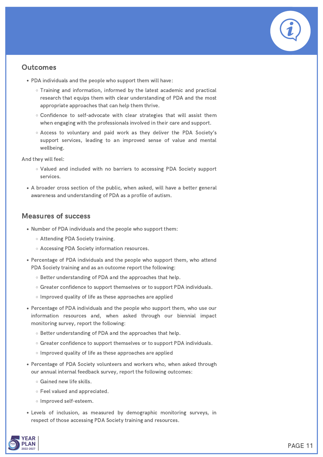- PDA individuals and the people who support them will have:
	- Training and information, informed by the latest academic and practical research that equips them with clear understanding of PDA and the most appropriate approaches that can help them thrive.
	- Confidence to self-advocate with clear strategies that will assist them when engaging with the professionals involved in their care and support.
	- Access to voluntary and paid work as they deliver the PDA Society's support services, leading to an improved sense of value and mental wellbeing.

And they will feel:

- Valued and included with no barriers to accessing PDA Society support services.
- A broader cross section of the public, when asked, will have a better general awareness and understanding of PDA as a profile of autism.

- Number of PDA individuals and the people who support them:
	- Attending PDA Society training.
	- o Accessing PDA Society information resources.
- Percentage of PDA individuals and the people who support them, who attend PDA Society training and as an outcome report the following:
	- Better understanding of PDA and the approaches that help.
	- o Greater confidence to support themselves or to support PDA individuals.
	- o Improved quality of life as these approaches are applied
- Percentage of PDA individuals and the people who support them, who use our information resources and, when asked through our biennial impact monitoring survey, report the following:
	- Better understanding of PDA and the approaches that help.
	- o Greater confidence to support themselves or to support PDA individuals.
	- o Improved quality of life as these approaches are applied
- Percentage of PDA Society volunteers and workers who, when asked through our annual internal feedback survey, report the following outcomes:
	- Gained new life skills.
	- Feel valued and appreciated.
	- o Improved self-esteem.
- Levels of inclusion, as measured by demographic monitoring surveys, in respect of those accessing PDA Society training and resources.

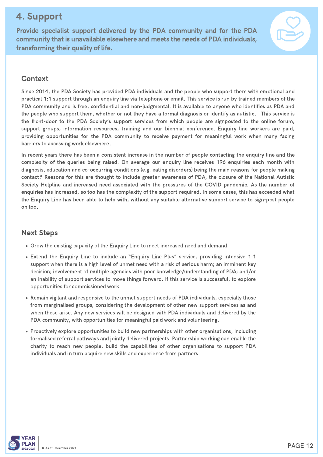### 4. Support

Provide specialist support delivered by the PDA community and for the PDA community that is unavailable elsewhere and meets the needs of PDA individuals, transforming their quality of life.



#### Context

Since 2014, the PDA Society has provided PDA individuals and the people who support them with emotional and practical 1:1 support through an enquiry line via telephone or email. This service is run by trained members of the PDA community and is free, confidential and non-judgmental. It is available to anyone who identifies as PDA and the people who support them, whether or not they have a formal diagnosis or identify as autistic. This service is the front-door to the PDA Society's support services from which people are signposted to the online forum, support groups, information resources, training and our biennial conference. Enquiry line workers are paid, providing opportunities for the PDA community to receive payment for meaningful work when many facing barriers to accessing work elsewhere.

In recent years there has been a consistent increase in the number of people contacting the enquiry line and the complexity of the queries being raised. On average our enquiry line receives 196 enquiries each month with diagnosis, education and co-occurring conditions (e.g. eating disorders) being the main reasons for people making  $\>$ contact. $\rm ^8$  Reasons for this are thought to include greater awareness of PDA, the closure of the National Autistic Society Helpline and increased need associated with the pressures of the COVID pandemic. As the number of enquiries has increased, so too has the complexity of the support required. In some cases, this has exceeded what the Enquiry Line has been able to help with, without any suitable alternative support service to sign-post people on too.

- Grow the existing capacity of the Enquiry Line to meet increased need and demand.
- Extend the Enquiry Line to include an "Enquiry Line Plus" service, providing intensive 1:1 support when there is a high level of unmet need with a risk of serious harm; an imminent key decision; involvement of multiple agencies with poor knowledge/understanding of PDA; and/or an inability of support services to move things forward. If this service is successful, to explore opportunities for commissioned work.
- Remain vigilant and responsive to the unmet support needs of PDA individuals, especially those from marginalised groups, considering the development of other new support services as and when these arise. Any new services will be designed with PDA individuals and delivered by the PDA community, with opportunities for meaningful paid work and volunteering.
- Proactively explore opportunities to build new partnerships with other organisations, including formalised referral pathways and jointly delivered projects. Partnership working can enable the charity to reach new people, build the capabilities of other organisations to support PDA individuals and in turn acquire new skills and experience from partners.

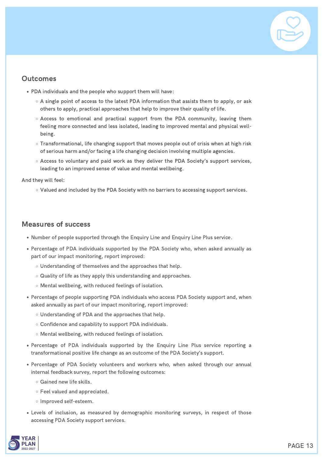

- PDA individuals and the people who support them will have:
	- $\circ$  A single point of access to the latest PDA information that assists them to apply, or ask others to apply, practical approaches that help to improve their quality of life.
	- Access to emotional and practical support from the PDA community, leaving them feeling more connected and less isolated, leading to improved mental and physical well being.
	- Transformational, life changing support that moves people out of crisis when at high risk of serious harm and/or facing a life changing decision involving multiple agencies.
	- Access to voluntary and paid work as they deliver the PDA Society's support services, leading to an improved sense of value and mental wellbeing.

And they will feel:

Valued and included by the PDA Society with no barriers to accessing support services.

- Number of people supported through the Enquiry Line and Enquiry Line Plus service.
- Percentage of PDA individuals supported by the PDA Society who, when asked annually as part of our impact monitoring, report improved:
	- Understanding of themselves and the approaches that help.
	- o Quality of life as they apply this understanding and approaches.
	- Mental wellbeing, with reduced feelings of isolation.
- Percentage of people supporting PDA individuals who access PDA Society support and, when asked annually as part of our impact monitoring, report improved:
	- Understanding of PDA and the approaches that help.
	- Confidence and capability to support PDA individuals.
	- Mental wellbeing, with reduced feelings of isolation.
- Percentage of PDA individuals supported by the Enquiry Line Plus service reporting a transformational positive life change as an outcome of the PDA Society's support.
- Percentage of PDA Society volunteers and workers who, when asked through our annual internal feedback survey, report the following outcomes:
	- Gained new life skills.
	- Feel valued and appreciated.
	- o Improved self-esteem.
- Levels of inclusion, as measured by demographic monitoring surveys, in respect of those accessing PDA Society support services.

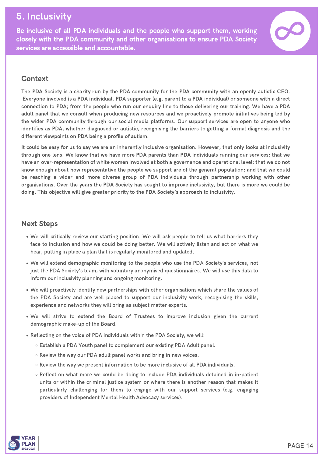## 5. Inclusivity

Be inclusive of all PDA individuals and the people who support them, working closely with the PDA community and other organisations to ensure PDA Society services are accessible and accountable.



#### **Context**

The PDA Society is a charity run by the PDA community for the PDA community with an openly autistic CEO. Everyone involved is a PDA individual, PDA supporter (e.g. parent to a PDA individual) or someone with a direct connection to PDA; from the people who run our enquiry line to those delivering our training. We have a PDA adult panel that we consult when producing new resources and we proactively promote initiatives being led by the wider PDA community through our social media platforms. Our support services are open to anyone who identifies as PDA, whether diagnosed or autistic, recognising the barriers to getting a formal diagnosis and the different viewpoints on PDA being a profile of autism.

It could be easy for us to say we are an inherently inclusive organisation. However, that only looks at inclusivity through one lens. We know that we have more PDA parents than PDA individuals running our services; that we have an over-representation of white women involved at both a governance and operational level; that we do not know enough about how representative the people we support are of the general population; and that we could be reaching a wider and more diverse group of PDA individuals through partnership working with other organisations. Over the years the PDA Society has sought to improve inclusivity, but there is more we could be doing. This objective will give greater priority to the PDA Society's approach to inclusivity.

- We will critically review our starting position. We will ask people to tell us what barriers they face to inclusion and how we could be doing better. We will actively listen and act on what we hear, putting in place a plan that is regularly monitored and updated.
- We will extend demographic monitoring to the people who use the PDA Society's services, not just the PDA Society's team, with voluntary anonymised questionnaires. We will use this data to inform our inclusivity planning and ongoing monitoring.
- We will proactively identify new partnerships with other organisations which share the values of the PDA Society and are well placed to support our inclusivity work, recognising the skills, experience and networks they will bring as subject matter experts.
- We will strive to extend the Board of Trustees to improve inclusion given the current demographic make-up of the Board.
- Reflecting on the voice of PDA individuals within the PDA Society, we will:
	- Establish a PDA Youth panel to complement our existing PDA Adult panel.
	- o Review the way our PDA adult panel works and bring in new voices.
	- Review the way we present information to be more inclusive of all PDA individuals.
	- Reflect on what more we could be doing to include PDA individuals detained in in-patient units or within the criminal justice system or where there is another reason that makes it particularly challenging for them to engage with our support services (e.g. engaging providers of Independent Mental Health Advocacy services).

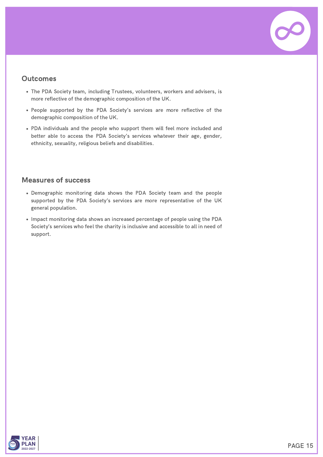

- The PDA Society team, including Trustees, volunteers, workers and advisers, is more reflective of the demographic composition of the UK.
- People supported by the PDA Society's services are more reflective of the demographic composition of the UK.
- PDA individuals and the people who support them will feel more included and better able to access the PDA Society's services whatever their age, gender, ethnicity, sexuality, religious beliefs and disabilities.

- Demographic monitoring data shows the PDA Society team and the people supported by the PDA Society's services are more representative of the UK general population.
- Impact monitoring data shows an increased percentage of people using the PDA Society's services who feel the charity is inclusive and accessible to all in need of support.

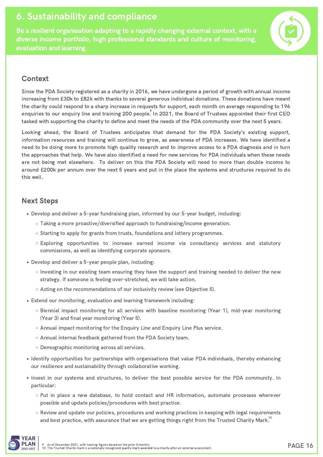## 6. Sustainability and compliance

Be a resilient organisation adapting to a rapidly changing external context, with a diverse income portfolio, high professional standards and culture of monitoring, evaluation and learning.



#### **Context**

Since the PDA Society registered as a charity in 2016, we have undergone a period of growth with annual income increasing from £30k to £82k with thanks to several generous individual donations. These donations have meant the charity could respond to a sharp increase in requests for support, each month on average responding to 196 enquiries to our enquiry line and training 200 people. In 2021, the Board of Trustees appointed their first CEO tasked with supporting the charity to define and meet the needs of the PDA community over the next 5 years.

Looking ahead, the Board of Trustees anticipates that demand for the PDA Society's existing support, information resources and training will continue to grow, as awareness of PDA increases. We have identified a need to be doing more to promote high quality research and to improve access to a PDA diagnosis and in turn the approaches that help. We have also identified a need for new services for PDA individuals when these needs are not being met elsewhere. To deliver on this the PDA Society will need to more than double income to around £200k per annum over the next 5 years and put in the place the systems and structures required to do this well.

- Develop and deliver a 5-year fundraising plan, informed by our 5-year budget, including:
	- Taking a more proactive/diversified approach to fundraising/income generation.
	- o Starting to apply for grants from trusts, foundations and lottery programmes.
	- Exploring opportunities to increase earned income via consultancy services and statutory commissions, as well as identifying corporate sponsors.
- Develop and deliver a 5-year people plan, including:
	- $\circ$  Investing in our existing team ensuring they have the support and training needed to deliver the new strategy. If someone is feeling over-stretched, we will take action.
	- Acting on the recommendations of our inclusivity review (see Objective 5).
- Extend our monitoring, evaluation and learning framework including:
	- Biennial impact monitoring for all services with baseline monitoring (Year 1), mid-year monitoring (Year 3) and final year monitoring (Year 5).
	- o Annual impact monitoring for the Enquiry Line and Enquiry Line Plus service.
	- o Annual internal feedback gathered from the PDA Society team.
	- o Demographic monitoring across all services.
- Identify opportunities for partnerships with organisations that value PDA individuals, thereby enhancing our resilience and sustainability through collaborative working.
- Invest in our systems and structures, to deliver the best possible service for the PDA community. In particular:
	- Put in place a new database, to hold contact and HR information, automate processes wherever possible and update policies/procedures with best practice.
	- Review and update our policies, procedures and working practices in keeping with legal requirements and best practice, with assurance that we are getting things right from the Trusted Charity Mark.<sup>10</sup>

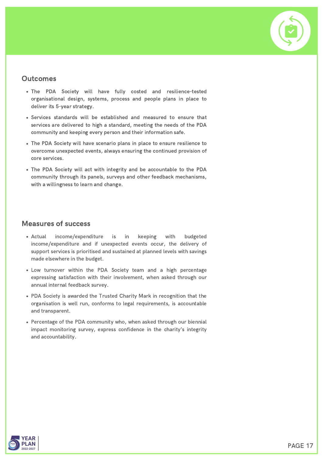

- The PDA Society will have fully costed and resilience-tested organisational design, systems, process and people plans in place to deliver its 5-year strategy.
- Services standards will be established and measured to ensure that services are delivered to high a standard, meeting the needs of the PDA community and keeping every person and their information safe.
- The PDA Society will have scenario plans in place to ensure resilience to overcome unexpected events, always ensuring the continued provision of core services.
- The PDA Society will act with integrity and be accountable to the PDA community through its panels, surveys and other feedback mechanisms, with a willingness to learn and change.

- Actual income/expenditure is in keeping with budgeted income/expenditure and if unexpected events occur, the delivery of support services is prioritised and sustained at planned levels with savings made elsewhere in the budget.
- Low turnover within the PDA Society team and a high percentage expressing satisfaction with their involvement, when asked through our annual internal feedback survey.
- PDA Society is awarded the Trusted Charity Mark in recognition that the organisation is well run, conforms to legal requirements, is accountable and transparent.
- Percentage of the PDA community who, when asked through our biennial impact monitoring survey, express confidence in the charity's integrity and accountability.